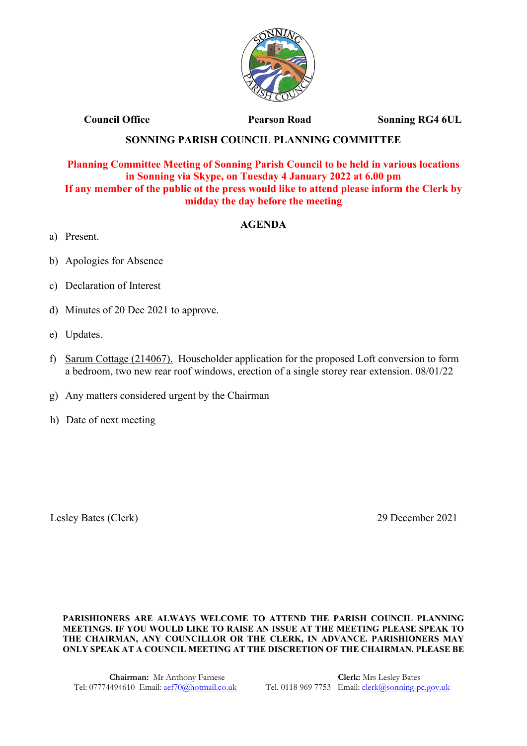

**Council Office Pearson Road Sonning RG4 6UL** 

## **SONNING PARISH COUNCIL PLANNING COMMITTEE**

## **Planning Committee Meeting of Sonning Parish Council to be held in various locations in Sonning via Skype, on Tuesday 4 January 2022 at 6.00 pm If any member of the public ot the press would like to attend please inform the Clerk by midday the day before the meeting**

## **AGENDA**

- a) Present.
- b) Apologies for Absence
- c) Declaration of Interest
- d) Minutes of 20 Dec 2021 to approve.
- e) Updates.
- f) Sarum Cottage (214067). Householder application for the proposed Loft conversion to form a bedroom, two new rear roof windows, erection of a single storey rear extension. 08/01/22
- g) Any matters considered urgent by the Chairman
- h) Date of next meeting

Lesley Bates (Clerk) 29 December 2021

**PARISHIONERS ARE ALWAYS WELCOME TO ATTEND THE PARISH COUNCIL PLANNING MEETINGS. IF YOU WOULD LIKE TO RAISE AN ISSUE AT THE MEETING PLEASE SPEAK TO THE CHAIRMAN, ANY COUNCILLOR OR THE CLERK, IN ADVANCE. PARISHIONERS MAY ONLY SPEAK AT A COUNCIL MEETING AT THE DISCRETION OF THE CHAIRMAN. PLEASE BE**